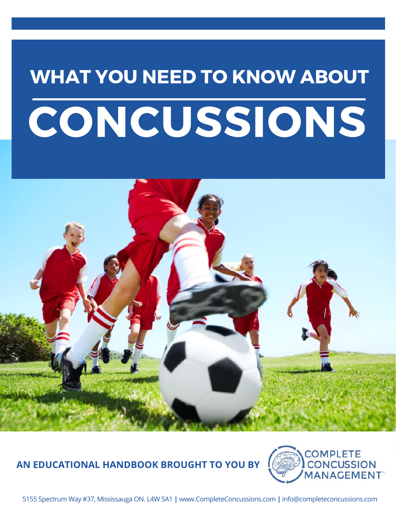# WHAT YOU NEED TO KNOW ABOUT **CONCUSSIONS**



## **AN EDUCATIONAL HANDBOOK BROUGHT TO YOU BY**



5155 Spectrum Way #37, Mississauga ON. L4W 5A1 **|** www.CompleteConcussions.com **|** info@completeconcussions.com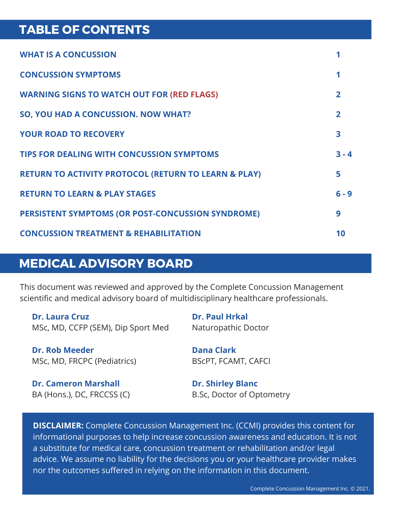## TABLE OF CONTENTS

| <b>WHAT IS A CONCUSSION</b>                                     |                |
|-----------------------------------------------------------------|----------------|
| <b>CONCUSSION SYMPTOMS</b>                                      |                |
| <b>WARNING SIGNS TO WATCH OUT FOR (RED FLAGS)</b>               | $\mathbf{2}$   |
| SO, YOU HAD A CONCUSSION. NOW WHAT?                             | $\overline{2}$ |
| <b>YOUR ROAD TO RECOVERY</b>                                    | 3              |
| <b>TIPS FOR DEALING WITH CONCUSSION SYMPTOMS</b>                | $3 - 4$        |
| <b>RETURN TO ACTIVITY PROTOCOL (RETURN TO LEARN &amp; PLAY)</b> | 5              |
| <b>RETURN TO LEARN &amp; PLAY STAGES</b>                        | $6 - 9$        |
| PERSISTENT SYMPTOMS (OR POST-CONCUSSION SYNDROME)               | 9              |
| <b>CONCUSSION TREATMENT &amp; REHABILITATION</b>                | 10             |

### MEDICAL ADVISORY BOARD

This document was reviewed and approved by the Complete Concussion Management scientific and medical advisory board of multidisciplinary healthcare professionals.

**Dr. Laura Cruz** MSc, MD, CCFP (SEM), Dip Sport Med

Naturopathic Doctor

**Dr. Paul Hrkal**

**Dr. Rob Meeder** MSc, MD, FRCPC (Pediatrics) **Dana Clark** BScPT, FCAMT, CAFCI

**Dr. Cameron Marshall** BA (Hons.), DC, FRCCSS (C) **Dr. Shirley Blanc** B.Sc, Doctor of Optometry

**DISCLAIMER:** Complete Concussion Management Inc. (CCMI) provides this content for informational purposes to help increase concussion awareness and education. It is not a substitute for medical care, concussion treatment or rehabilitation and/or legal advice. We assume no liability for the decisions you or your healthcare provider makes nor the outcomes suffered in relying on the information in this document.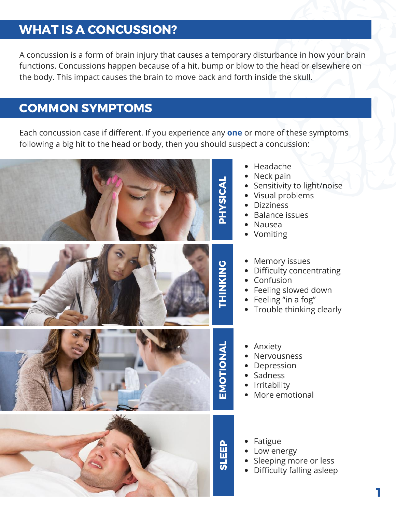## WHAT IS A CONCUSSION?

A concussion is a form of brain injury that causes a temporary disturbance in how your brain functions. Concussions happen because of a hit, bump or blow to the head or elsewhere on the body. This impact causes the brain to move back and forth inside the skull.

## COMMON SYMPTOMS

Each concussion case if different. If you experience any **one** or more of these symptoms following a big hit to the head or body, then you should suspect a concussion:



- Headache
- Neck pain
- Sensitivity to light/noise
- Visual problems
- **Dizziness**
- Balance issues
- Nausea
- Vomiting
- Memory issues
- Difficulty concentrating
- Confusion
- Feeling slowed down
- Feeling "in a fog"
- Trouble thinking clearly
- Anxiety
	- Nervousness
	- Depression
	- Sadness
	- Irritability
	- More emotional
	- Fatigue
	- Low energy
	- Sleeping more or less
	- Difficulty falling asleep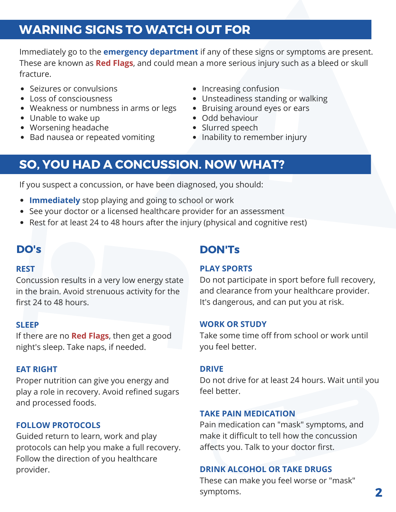## WARNING SIGNS TO WATCH OUT FOR

Immediately go to the **emergency department** if any of these signs or symptoms are present. These are known as **Red Flags**, and could mean a more serious injury such as a bleed or skull fracture.

- Seizures or convulsions
- Loss of consciousness
- Weakness or numbness in arms or legs
- Unable to wake up
- Worsening headache
- Bad nausea or repeated vomiting
- Increasing confusion
- Unsteadiness standing or walking
- Bruising around eyes or ears
- Odd behaviour
- Slurred speech
- Inability to remember injury

## SO, YOU HAD A CONCUSSION. NOW WHAT?

If you suspect a concussion, or have been diagnosed, you should:

- **Immediately** stop playing and going to school or work
- See your doctor or a licensed healthcare provider for an assessment
- Rest for at least 24 to 48 hours after the injury (physical and cognitive rest)

#### **REST**

Concussion results in a very low energy state in the brain. Avoid strenuous activity for the first 24 to 48 hours.

#### **SLEEP**

If there are no **Red Flags**, then get a good night's sleep. Take naps, if needed.

#### **EAT RIGHT**

Proper nutrition can give you energy and play a role in recovery. Avoid refined sugars and processed foods.

#### **FOLLOW PROTOCOLS**

Guided return to learn, work and play protocols can help you make a full recovery. Follow the direction of you healthcare provider.

#### DO's DON'Ts

#### **PLAY SPORTS**

Do not participate in sport before full recovery, and clearance from your healthcare provider. It's dangerous, and can put you at risk.

#### **WORK OR STUDY**

Take some time off from school or work until you feel better.

#### **DRIVE**

Do not drive for at least 24 hours. Wait until you feel better.

#### **TAKE PAIN MEDICATION**

Pain medication can "mask" symptoms, and make it difficult to tell how the concussion affects you. Talk to your doctor first.

#### **DRINK ALCOHOL OR TAKE DRUGS**

These can make you feel worse or "mask" symptoms.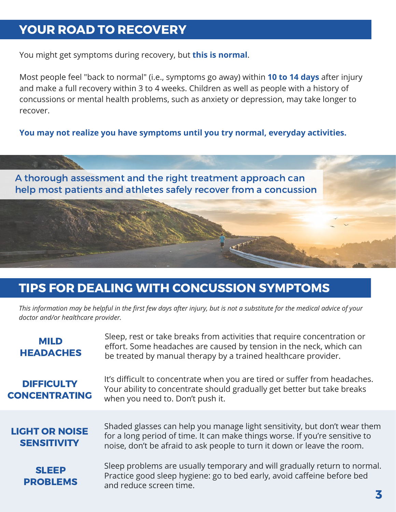## YOUR ROAD TO RECOVERY

You might get symptoms during recovery, but **this is normal**.

Most people feel "back to normal" (i.e., symptoms go away) within **10 to 14 days** after injury and make a full recovery within 3 to 4 weeks. Children as well as people with a history of concussions or mental health problems, such as anxiety or depression, may take longer to recover.

**You may not realize you have symptoms until you try normal, everyday activities.**



## TIPS FOR DEALING WITH CONCUSSION SYMPTOMS

This information may be helpful in the first few days after injury, but is not a substitute for the medical advice of your *doctor and/or healthcare provider.*

| <b>MILD</b><br><b>HEADACHES</b>             | Sleep, rest or take breaks from activities that require concentration or<br>effort. Some headaches are caused by tension in the neck, which can<br>be treated by manual therapy by a trained healthcare provider.                   |  |  |
|---------------------------------------------|-------------------------------------------------------------------------------------------------------------------------------------------------------------------------------------------------------------------------------------|--|--|
| <b>DIFFICULTY</b><br><b>CONCENTRATING</b>   | It's difficult to concentrate when you are tired or suffer from headaches.<br>Your ability to concentrate should gradually get better but take breaks<br>when you need to. Don't push it.                                           |  |  |
| <b>LIGHT OR NOISE</b><br><b>SENSITIVITY</b> | Shaded glasses can help you manage light sensitivity, but don't wear them<br>for a long period of time. It can make things worse. If you're sensitive to<br>noise, don't be afraid to ask people to turn it down or leave the room. |  |  |
| <b>SLEEP</b><br><b>PROBLEMS</b>             | Sleep problems are usually temporary and will gradually return to normal.<br>Practice good sleep hygiene: go to bed early, avoid caffeine before bed<br>and reduce screen time.                                                     |  |  |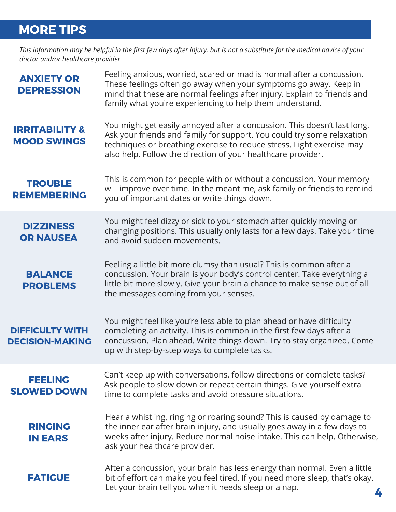## MORE TIPS

This information may be helpful in the first few days after injury, but is not a substitute for the medical advice of your *doctor and/or healthcare provider.*

| <b>ANXIETY OR</b><br><b>DEPRESSION</b>           | Feeling anxious, worried, scared or mad is normal after a concussion.<br>These feelings often go away when your symptoms go away. Keep in<br>mind that these are normal feelings after injury. Explain to friends and<br>family what you're experiencing to help them understand.           |  |  |
|--------------------------------------------------|---------------------------------------------------------------------------------------------------------------------------------------------------------------------------------------------------------------------------------------------------------------------------------------------|--|--|
| <b>IRRITABILITY &amp;</b><br><b>MOOD SWINGS</b>  | You might get easily annoyed after a concussion. This doesn't last long.<br>Ask your friends and family for support. You could try some relaxation<br>techniques or breathing exercise to reduce stress. Light exercise may<br>also help. Follow the direction of your healthcare provider. |  |  |
| <b>TROUBLE</b><br><b>REMEMBERING</b>             | This is common for people with or without a concussion. Your memory<br>will improve over time. In the meantime, ask family or friends to remind<br>you of important dates or write things down.                                                                                             |  |  |
| <b>DIZZINESS</b><br><b>OR NAUSEA</b>             | You might feel dizzy or sick to your stomach after quickly moving or<br>changing positions. This usually only lasts for a few days. Take your time<br>and avoid sudden movements.                                                                                                           |  |  |
| <b>BALANCE</b><br><b>PROBLEMS</b>                | Feeling a little bit more clumsy than usual? This is common after a<br>concussion. Your brain is your body's control center. Take everything a<br>little bit more slowly. Give your brain a chance to make sense out of all<br>the messages coming from your senses.                        |  |  |
| <b>DIFFICULTY WITH</b><br><b>DECISION-MAKING</b> | You might feel like you're less able to plan ahead or have difficulty<br>completing an activity. This is common in the first few days after a<br>concussion. Plan ahead. Write things down. Try to stay organized. Come<br>up with step-by-step ways to complete tasks.                     |  |  |
| <b>FEELING</b><br><b>SLOWED DOWN</b>             | Can't keep up with conversations, follow directions or complete tasks?<br>Ask people to slow down or repeat certain things. Give yourself extra<br>time to complete tasks and avoid pressure situations.                                                                                    |  |  |
| <b>RINGING</b><br><b>IN EARS</b>                 | Hear a whistling, ringing or roaring sound? This is caused by damage to<br>the inner ear after brain injury, and usually goes away in a few days to<br>weeks after injury. Reduce normal noise intake. This can help. Otherwise,<br>ask your healthcare provider.                           |  |  |
| <b>FATIGUE</b>                                   | After a concussion, your brain has less energy than normal. Even a little<br>bit of effort can make you feel tired. If you need more sleep, that's okay.<br>Let your brain tell you when it needs sleep or a nap.                                                                           |  |  |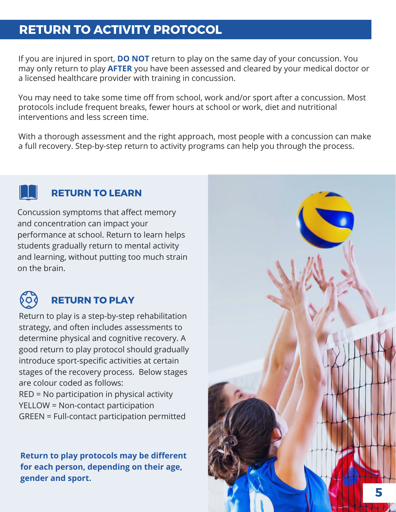## RETURN TO ACTIVITY PROTOCOL

If you are injured in sport, **DO NOT** return to play on the same day of your concussion. You may only return to play **AFTER** you have been assessed and cleared by your medical doctor or a licensed healthcare provider with training in concussion.

You may need to take some time off from school, work and/or sport after a concussion. Most protocols include frequent breaks, fewer hours at school or work, diet and nutritional interventions and less screen time.

With a thorough assessment and the right approach, most people with a concussion can make a full recovery. Step-by-step return to activity programs can help you through the process.



#### RETURN TO LEARN

Concussion symptoms that affect memory and concentration can impact your performance at school. Return to learn helps students gradually return to mental activity and learning, without putting too much strain on the brain.



## RETURN TO PLAY

Return to play is a step-by-step rehabilitation strategy, and often includes assessments to determine physical and cognitive recovery. A good return to play protocol should gradually introduce sport-specific activities at certain stages of the recovery process. Below stages are colour coded as follows:

RED = No participation in physical activity YELLOW = Non-contact participation GREEN = Full-contact participation permitted

**Return to play protocols may be different for each person, depending on their age, gender and sport.**

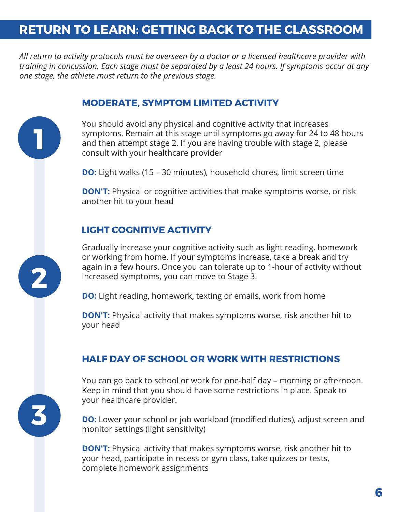## RETURN TO LEARN: GETTING BACK TO THE CLASSROOM

*All return to activity protocols must be overseen by a doctor or a licensed healthcare provider with training in concussion. Each stage must be separated by a least 24 hours. If symptoms occur at any one stage, the athlete must return to the previous stage.*

#### MODERATE, SYMPTOM LIMITED ACTIVITY

You should avoid any physical and cognitive activity that increases symptoms. Remain at this stage until symptoms go away for 24 to 48 hours and then attempt stage 2. If you are having trouble with stage 2, please consult with your healthcare provider

**DO:** Light walks (15 – 30 minutes), household chores, limit screen time

**DON'T:** Physical or cognitive activities that make symptoms worse, or risk another hit to your head

#### LIGHT COGNITIVE ACTIVITY

3

2

1

Gradually increase your cognitive activity such as light reading, homework or working from home. If your symptoms increase, take a break and try again in a few hours. Once you can tolerate up to 1-hour of activity without increased symptoms, you can move to Stage 3.

**DO:** Light reading, homework, texting or emails, work from home

**DON'T:** Physical activity that makes symptoms worse, risk another hit to your head

#### HALF DAY OF SCHOOL OR WORK WITH RESTRICTIONS

You can go back to school or work for one-half day – morning or afternoon. Keep in mind that you should have some restrictions in place. Speak to your healthcare provider.

**DO:** Lower your school or job workload (modified duties), adjust screen and monitor settings (light sensitivity)

**DON'T:** Physical activity that makes symptoms worse, risk another hit to your head, participate in recess or gym class, take quizzes or tests, complete homework assignments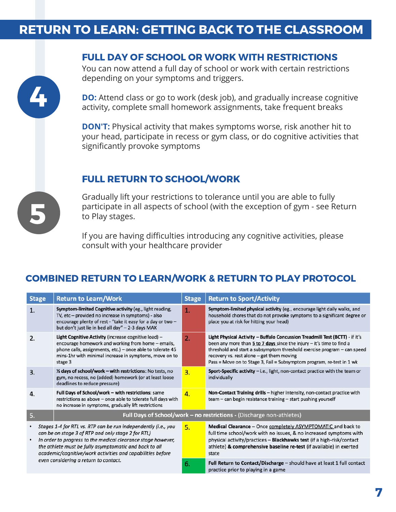## RETURN TO LEARN: GETTING BACK TO THE CLASSROOM



You can now attend a full day of school or work with certain restrictions depending on your symptoms and triggers.

**DO:** Attend class or go to work (desk job), and gradually increase cognitive activity, complete small homework assignments, take frequent breaks

**DON'T:** Physical activity that makes symptoms worse, risk another hit to your head, participate in recess or gym class, or do cognitive activities that significantly provoke symptoms

#### FULL RETURN TO SCHOOL/WORK

Gradually lift your restrictions to tolerance until you are able to fully participate in all aspects of school (with the exception of gym - see Return to Play stages.

If you are having difficulties introducing any cognitive activities, please consult with your healthcare provider

#### COMBINED RETURN TO LEARN/WORK & RETURN TO PLAY PROTOCOL

| <b>Stage</b>                                                                                                                                                                                                                                                                                                                                               | <b>Return to Learn/Work</b>                                                                                                                                                                                                                   | <b>Stage</b> | <b>Return to Sport/Activity</b>                                                                                                                                                                                                                                                                                                                              |  |  |
|------------------------------------------------------------------------------------------------------------------------------------------------------------------------------------------------------------------------------------------------------------------------------------------------------------------------------------------------------------|-----------------------------------------------------------------------------------------------------------------------------------------------------------------------------------------------------------------------------------------------|--------------|--------------------------------------------------------------------------------------------------------------------------------------------------------------------------------------------------------------------------------------------------------------------------------------------------------------------------------------------------------------|--|--|
| 1.                                                                                                                                                                                                                                                                                                                                                         | Symptom-limited Cognitive activity (eg., light reading,<br>TV, etc - provided no increase in symptoms) - also<br>encourage plenty of rest - "take it easy for a day or two -<br>but don't just lie in bed all day" - 2-3 days MAX             | 1.           | Symptom-limited physical activity (eg., encourage light daily walks, and<br>household chores that do not provoke symptoms to a significant degree or<br>place you at risk for hitting your head)                                                                                                                                                             |  |  |
| 2.                                                                                                                                                                                                                                                                                                                                                         | Light Cognitive Activity (increase cognitive load) -<br>encourage homework and working from home - emails,<br>phone calls, assignments, etc.) - once able to tolerate 45<br>mins-1hr with minimal increase in symptoms, move on to<br>stage 3 | 2.           | Light Physical Activity - Buffalo Concussion Treadmill Test (BCTT) - if it's<br>been any more than $5$ to $7$ days since the injury $-$ it's time to find a<br>threshold and start a subsymptom threshold exercise program - can speed<br>recovery vs. rest alone - get them moving<br>Pass = Move on to Stage 3, Fail = Subsymptom program, re-test in 1 wk |  |  |
| 3.                                                                                                                                                                                                                                                                                                                                                         | 1/2 days of school/work - with restrictions: No tests, no<br>gym, no recess, no (added) homework (or at least loose<br>deadlines to reduce pressure)                                                                                          | 3.           | Sport-Specific activity - i.e., light, non-contact practice with the team or<br>individually                                                                                                                                                                                                                                                                 |  |  |
| 4.                                                                                                                                                                                                                                                                                                                                                         | Full Days of School/work - with restrictions: same<br>restrictions as above - once able to tolerate full days with<br>no increase in symptoms, gradually lift restrictions                                                                    | 4.           | Non-Contact Training drills - higher intensity, non-contact practice with<br>team – can begin resistance training – start pushing yourself                                                                                                                                                                                                                   |  |  |
| 5.                                                                                                                                                                                                                                                                                                                                                         | Full Days of School/work - no restrictions - (Discharge non-athletes)                                                                                                                                                                         |              |                                                                                                                                                                                                                                                                                                                                                              |  |  |
| Stages 1-4 for RTL vs. RTP can be run independently (i.e., you<br>٠<br>can be on stage 3 of RTP and only stage 2 for RTL)<br>In order to progress to the medical clearance stage however,<br>the athlete must be fully asymptomatic and back to all<br>academic/cognitive/work activities and capabilities before<br>even considering a return to contact. |                                                                                                                                                                                                                                               | 5.           | Medical Clearance - Once completely ASYMPTOMATIC and back to<br>full time school/work with no issues, & no increased symptoms with<br>physical activity/practices - Blackhawks test (if a high-risk/contact<br>athlete) & comprehensive baseline re-test (if available) in exerted<br>state                                                                  |  |  |
|                                                                                                                                                                                                                                                                                                                                                            |                                                                                                                                                                                                                                               | 6.           | Full Return to Contact/Discharge - should have at least 1 full contact<br>practice prior to playing in a game                                                                                                                                                                                                                                                |  |  |



4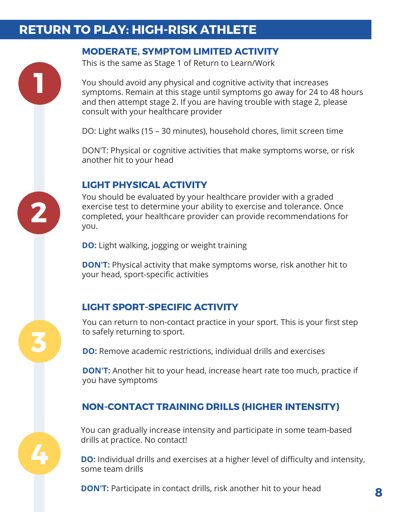## RETURN TO PLAY: HIGH-RISK ATHLETE

#### MODERATE, SYMPTOM LIMITED ACTIVITY

This is the same as Stage 1 of Return to Learn/Work

You should avoid any physical and cognitive activity that increases symptoms. Remain at this stage until symptoms go away for 24 to 48 hours and then attempt stage 2. If you are having trouble with stage 2, please consult with your healthcare provider

DO: Light walks (15 – 30 minutes), household chores, limit screen time

DON'T: Physical or cognitive activities that make symptoms worse, or risk another hit to your head

#### LIGHT PHYSICAL ACTIVITY

You should be evaluated by your healthcare provider with a graded exercise test to determine your ability to exercise and tolerance. Once completed, your healthcare provider can provide recommendations for you.

**DO:** Light walking, jogging or weight training

**DON'T:** Physical activity that make symptoms worse, risk another hit to your head, sport-specific activities

#### LIGHT SPORT-SPECIFIC ACTIVITY

4

3

2

1

You can return to non-contact practice in your sport. This is your first step to safely returning to sport.

**DO:** Remove academic restrictions, individual drills and exercises

**DON'T:** Another hit to your head, increase heart rate too much, practice if you have symptoms

#### NON-CONTACT TRAINING DRILLS (HIGHER INTENSITY)

You can gradually increase intensity and participate in some team-based drills at practice. No contact!

**DO:** Individual drills and exercises at a higher level of difficulty and intensity, some team drills

**DON'T:** Participate in contact drills, risk another hit to your head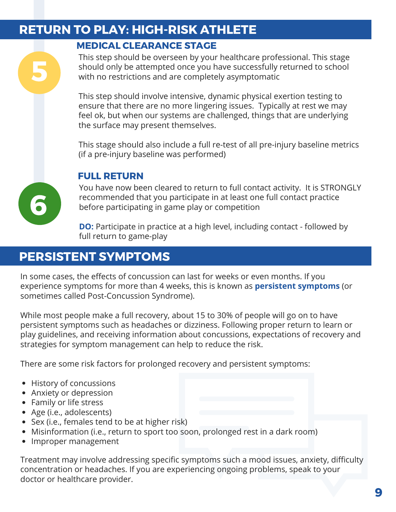## RETURN TO PLAY: HIGH-RISK ATHLETE

#### MEDICAL CLEARANCE STAGE

This step should be overseen by your healthcare professional. This stage should only be attempted once you have successfully returned to school with no restrictions and are completely asymptomatic

This step should involve intensive, dynamic physical exertion testing to ensure that there are no more lingering issues. Typically at rest we may feel ok, but when our systems are challenged, things that are underlying the surface may present themselves.

This stage should also include a full re-test of all pre-injury baseline metrics (if a pre-injury baseline was performed)

#### FULL RETURN

You have now been cleared to return to full contact activity. It is STRONGLY recommended that you participate in at least one full contact practice before participating in game play or competition

**DO:** Participate in practice at a high level, including contact - followed by full return to game-play

## PERSISTENT SYMPTOMS

In some cases, the effects of concussion can last for weeks or even months. If you experience symptoms for more than 4 weeks, this is known as **persistent symptoms** (or sometimes called Post-Concussion Syndrome).

While most people make a full recovery, about 15 to 30% of people will go on to have persistent symptoms such as headaches or dizziness. Following proper return to learn or play guidelines, and receiving information about concussions, expectations of recovery and strategies for symptom management can help to reduce the risk.

There are some risk factors for prolonged recovery and persistent symptoms:

- History of concussions
- Anxiety or depression
- Family or life stress

6

5

- Age (i.e., adolescents)
- Sex (i.e., females tend to be at higher risk)
- Misinformation (i.e., return to sport too soon, prolonged rest in a dark room)
- Improper management

Treatment may involve addressing specific symptoms such a mood issues, anxiety, difficulty concentration or headaches. If you are experiencing ongoing problems, speak to your doctor or healthcare provider.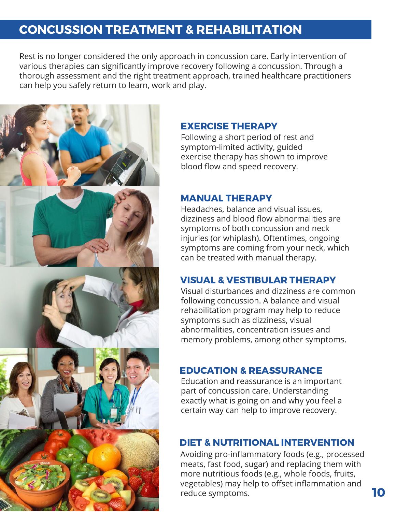## CONCUSSION TREATMENT & REHABILITATION

Rest is no longer considered the only approach in concussion care. Early intervention of various therapies can significantly improve recovery following a concussion. Through a thorough assessment and the right treatment approach, trained healthcare practitioners can help you safely return to learn, work and play.



#### EXERCISE THERAPY

Following a short period of rest and symptom-limited activity, guided exercise therapy has shown to improve blood flow and speed recovery.

#### MANUAL THERAPY

Headaches, balance and visual issues, dizziness and blood flow abnormalities are symptoms of both concussion and neck injuries (or whiplash). Oftentimes, ongoing symptoms are coming from your neck, which can be treated with manual therapy.

#### VISUAL & VESTIBULAR THERAPY

Visual disturbances and dizziness are common following concussion. A balance and visual rehabilitation program may help to reduce symptoms such as dizziness, visual abnormalities, concentration issues and memory problems, among other symptoms.

#### EDUCATION & REASSURANCE

Education and reassurance is an important part of concussion care. Understanding exactly what is going on and why you feel a certain way can help to improve recovery.

#### DIET & NUTRITIONAL INTERVENTION

Avoiding pro-inflammatory foods (e.g., processed meats, fast food, sugar) and replacing them with more nutritious foods (e.g., whole foods, fruits, vegetables) may help to offset inflammation and reduce symptoms.